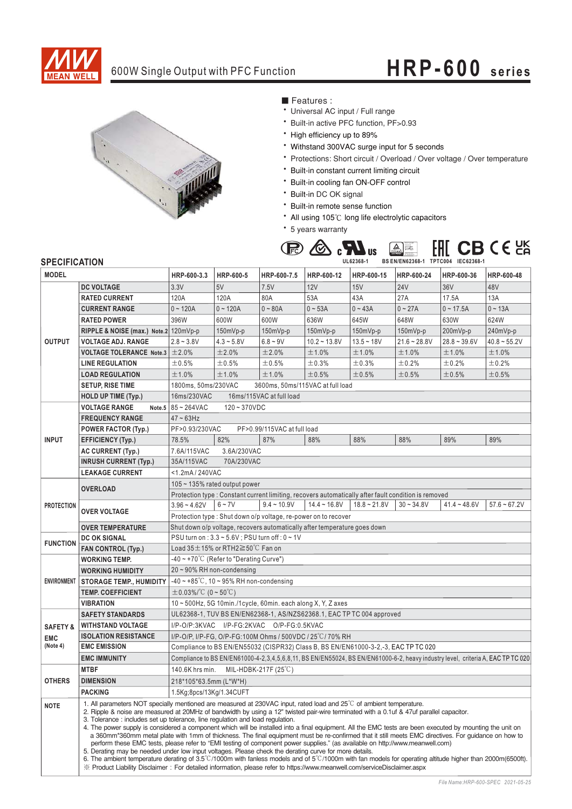

## 600W Single Output with PFC Function **HRP-600 series**



■ Features :

- Universal AC input / Full range
- \* Built-in active PFC function, PF>0.93
- \* High efficiency up to 89%
- \* Withstand 300VAC surge input for 5 seconds
- \* Protections: Short circuit / Overload / Over voltage / Over temperature
- \* Built-in constant current limiting circuit
- \* Built-in cooling fan ON-OFF control
- \* Built-in DC OK signal
- \* Built-in remote sense function
- All using 105°C long life electrolytic capacitors
- \* 5 years warranty



## **SPECIFICATION**

| יוטהוסטו ווטברוט<br><b>MODEL</b>              |                                                                                                                                                                                                                                                                                                                                                                                                                                                                                                                                                                                                                                                                                                                                                                                                                                                                                                                                                                                                                                                                                                                                                                                                                     | HRP-600-3.3                                                                                                                     | HRP-600-5    | HRP-600-7.5                                                    | HRP-600-12     | HRP-600-15     | HRP-600-24     | HRP-600-36      | HRP-600-48     |
|-----------------------------------------------|---------------------------------------------------------------------------------------------------------------------------------------------------------------------------------------------------------------------------------------------------------------------------------------------------------------------------------------------------------------------------------------------------------------------------------------------------------------------------------------------------------------------------------------------------------------------------------------------------------------------------------------------------------------------------------------------------------------------------------------------------------------------------------------------------------------------------------------------------------------------------------------------------------------------------------------------------------------------------------------------------------------------------------------------------------------------------------------------------------------------------------------------------------------------------------------------------------------------|---------------------------------------------------------------------------------------------------------------------------------|--------------|----------------------------------------------------------------|----------------|----------------|----------------|-----------------|----------------|
|                                               | <b>DC VOLTAGE</b>                                                                                                                                                                                                                                                                                                                                                                                                                                                                                                                                                                                                                                                                                                                                                                                                                                                                                                                                                                                                                                                                                                                                                                                                   | 3.3V                                                                                                                            | 5V           | 7.5V                                                           | 12V            | 15V            | <b>24V</b>     | 36 <sub>V</sub> | 48V            |
| <b>OUTPUT</b>                                 | <b>RATED CURRENT</b>                                                                                                                                                                                                                                                                                                                                                                                                                                                                                                                                                                                                                                                                                                                                                                                                                                                                                                                                                                                                                                                                                                                                                                                                | 120A                                                                                                                            | 120A         | 80A                                                            | 53A            | 43A            | 27A            | 17.5A           | 13A            |
|                                               | <b>CURRENT RANGE</b>                                                                                                                                                                                                                                                                                                                                                                                                                                                                                                                                                                                                                                                                                                                                                                                                                                                                                                                                                                                                                                                                                                                                                                                                | $0 - 120A$                                                                                                                      | $0 - 120A$   | $0 - 80A$                                                      | $0 - 53A$      | $0 - 43A$      | $0 - 27A$      | $0 - 17.5A$     | $0 - 13A$      |
|                                               | <b>RATED POWER</b>                                                                                                                                                                                                                                                                                                                                                                                                                                                                                                                                                                                                                                                                                                                                                                                                                                                                                                                                                                                                                                                                                                                                                                                                  | 396W                                                                                                                            | 600W         | 600W                                                           | 636W           | 645W           | 648W           | 630W            | 624W           |
|                                               | RIPPLE & NOISE (max.) Note.2 120mVp-p                                                                                                                                                                                                                                                                                                                                                                                                                                                                                                                                                                                                                                                                                                                                                                                                                                                                                                                                                                                                                                                                                                                                                                               |                                                                                                                                 | $150mVp-p$   | 150mVp-p                                                       | 150mVp-p       | 150mVp-p       | 150mVp-p       | 200mVp-p        | 240mVp-p       |
|                                               | <b>VOLTAGE ADJ. RANGE</b>                                                                                                                                                                                                                                                                                                                                                                                                                                                                                                                                                                                                                                                                                                                                                                                                                                                                                                                                                                                                                                                                                                                                                                                           | $2.8 - 3.8V$                                                                                                                    | $4.3 - 5.8V$ | $6.8 - 9V$                                                     | $10.2 - 13.8V$ | $13.5 - 18V$   | $21.6 - 28.8V$ | $28.8 - 39.6V$  | $40.8 - 55.2V$ |
|                                               | <b>VOLTAGE TOLERANCE Note.3 <math>\pm</math> 2.0%</b>                                                                                                                                                                                                                                                                                                                                                                                                                                                                                                                                                                                                                                                                                                                                                                                                                                                                                                                                                                                                                                                                                                                                                               |                                                                                                                                 | ±2.0%        | ±2.0%                                                          | ±1.0%          | ±1.0%          | ±1.0%          | ±1.0%           | ±1.0%          |
|                                               | <b>LINE REGULATION</b>                                                                                                                                                                                                                                                                                                                                                                                                                                                                                                                                                                                                                                                                                                                                                                                                                                                                                                                                                                                                                                                                                                                                                                                              | ±0.5%                                                                                                                           | ±0.5%        | ±0.5%                                                          | ±0.3%          | ±0.3%          | ±0.2%          | $\pm$ 0.2%      | $\pm$ 0.2%     |
|                                               | <b>LOAD REGULATION</b>                                                                                                                                                                                                                                                                                                                                                                                                                                                                                                                                                                                                                                                                                                                                                                                                                                                                                                                                                                                                                                                                                                                                                                                              | ±1.0%                                                                                                                           | ±1.0%        | ±1.0%                                                          | ±0.5%          | ±0.5%          | ±0.5%          | ±0.5%           | ±0.5%          |
|                                               | <b>SETUP, RISE TIME</b>                                                                                                                                                                                                                                                                                                                                                                                                                                                                                                                                                                                                                                                                                                                                                                                                                                                                                                                                                                                                                                                                                                                                                                                             | 1800ms, 50ms/230VAC<br>3600ms, 50ms/115VAC at full load                                                                         |              |                                                                |                |                |                |                 |                |
|                                               | <b>HOLD UP TIME (Typ.)</b>                                                                                                                                                                                                                                                                                                                                                                                                                                                                                                                                                                                                                                                                                                                                                                                                                                                                                                                                                                                                                                                                                                                                                                                          | 16ms/115VAC at full load<br>16ms/230VAC                                                                                         |              |                                                                |                |                |                |                 |                |
|                                               | <b>VOLTAGE RANGE</b>                                                                                                                                                                                                                                                                                                                                                                                                                                                                                                                                                                                                                                                                                                                                                                                                                                                                                                                                                                                                                                                                                                                                                                                                | Note.5 $85 - 264$ VAC<br>$120 - 370VDC$                                                                                         |              |                                                                |                |                |                |                 |                |
| <b>INPUT</b>                                  | <b>FREQUENCY RANGE</b>                                                                                                                                                                                                                                                                                                                                                                                                                                                                                                                                                                                                                                                                                                                                                                                                                                                                                                                                                                                                                                                                                                                                                                                              | $47 \sim 63$ Hz                                                                                                                 |              |                                                                |                |                |                |                 |                |
|                                               | <b>POWER FACTOR (Typ.)</b>                                                                                                                                                                                                                                                                                                                                                                                                                                                                                                                                                                                                                                                                                                                                                                                                                                                                                                                                                                                                                                                                                                                                                                                          | PF>0.93/230VAC<br>PF>0.99/115VAC at full load                                                                                   |              |                                                                |                |                |                |                 |                |
|                                               | <b>EFFICIENCY (Typ.)</b>                                                                                                                                                                                                                                                                                                                                                                                                                                                                                                                                                                                                                                                                                                                                                                                                                                                                                                                                                                                                                                                                                                                                                                                            | 78.5%                                                                                                                           | 82%          | 87%                                                            | 88%            | 88%            | 88%            | 89%             | 89%            |
|                                               | <b>AC CURRENT (Typ.)</b>                                                                                                                                                                                                                                                                                                                                                                                                                                                                                                                                                                                                                                                                                                                                                                                                                                                                                                                                                                                                                                                                                                                                                                                            | 7.6A/115VAC                                                                                                                     | 3.6A/230VAC  |                                                                |                |                |                |                 |                |
|                                               | <b>INRUSH CURRENT (Typ.)</b>                                                                                                                                                                                                                                                                                                                                                                                                                                                                                                                                                                                                                                                                                                                                                                                                                                                                                                                                                                                                                                                                                                                                                                                        | 35A/115VAC<br>70A/230VAC                                                                                                        |              |                                                                |                |                |                |                 |                |
|                                               | <b>LEAKAGE CURRENT</b>                                                                                                                                                                                                                                                                                                                                                                                                                                                                                                                                                                                                                                                                                                                                                                                                                                                                                                                                                                                                                                                                                                                                                                                              | <1.2mA/240VAC                                                                                                                   |              |                                                                |                |                |                |                 |                |
| <b>PROTECTION</b>                             | <b>OVERLOAD</b>                                                                                                                                                                                                                                                                                                                                                                                                                                                                                                                                                                                                                                                                                                                                                                                                                                                                                                                                                                                                                                                                                                                                                                                                     | $105 \sim 135\%$ rated output power                                                                                             |              |                                                                |                |                |                |                 |                |
|                                               |                                                                                                                                                                                                                                                                                                                                                                                                                                                                                                                                                                                                                                                                                                                                                                                                                                                                                                                                                                                                                                                                                                                                                                                                                     | Protection type : Constant current limiting, recovers automatically after fault condition is removed                            |              |                                                                |                |                |                |                 |                |
|                                               | <b>OVER VOLTAGE</b>                                                                                                                                                                                                                                                                                                                                                                                                                                                                                                                                                                                                                                                                                                                                                                                                                                                                                                                                                                                                                                                                                                                                                                                                 | $3.96 - 4.62V$                                                                                                                  | $6 - 7V$     | $9.4 - 10.9V$                                                  | $14.4 - 16.8V$ | $18.8 - 21.8V$ | $30 - 34.8V$   | $41.4 - 48.6V$  | $57.6 - 67.2V$ |
|                                               |                                                                                                                                                                                                                                                                                                                                                                                                                                                                                                                                                                                                                                                                                                                                                                                                                                                                                                                                                                                                                                                                                                                                                                                                                     |                                                                                                                                 |              | Protection type: Shut down o/p voltage, re-power on to recover |                |                |                |                 |                |
|                                               | <b>OVER TEMPERATURE</b>                                                                                                                                                                                                                                                                                                                                                                                                                                                                                                                                                                                                                                                                                                                                                                                                                                                                                                                                                                                                                                                                                                                                                                                             | Shut down o/p voltage, recovers automatically after temperature goes down                                                       |              |                                                                |                |                |                |                 |                |
| <b>FUNCTION</b>                               | <b>DC OK SIGNAL</b>                                                                                                                                                                                                                                                                                                                                                                                                                                                                                                                                                                                                                                                                                                                                                                                                                                                                                                                                                                                                                                                                                                                                                                                                 | PSU turn on : 3.3 ~ 5.6V ; PSU turn off : 0 ~ 1V                                                                                |              |                                                                |                |                |                |                 |                |
|                                               | FAN CONTROL (Typ.)                                                                                                                                                                                                                                                                                                                                                                                                                                                                                                                                                                                                                                                                                                                                                                                                                                                                                                                                                                                                                                                                                                                                                                                                  | Load $35 \pm 15\%$ or RTH2 $\geq 50\degree$ C Fan on                                                                            |              |                                                                |                |                |                |                 |                |
| <b>ENVIRONMENT</b>                            | <b>WORKING TEMP.</b>                                                                                                                                                                                                                                                                                                                                                                                                                                                                                                                                                                                                                                                                                                                                                                                                                                                                                                                                                                                                                                                                                                                                                                                                | $-40 \sim +70^{\circ}$ C (Refer to "Derating Curve")                                                                            |              |                                                                |                |                |                |                 |                |
|                                               | <b>WORKING HUMIDITY</b>                                                                                                                                                                                                                                                                                                                                                                                                                                                                                                                                                                                                                                                                                                                                                                                                                                                                                                                                                                                                                                                                                                                                                                                             | 20~90% RH non-condensing                                                                                                        |              |                                                                |                |                |                |                 |                |
|                                               | <b>STORAGE TEMP., HUMIDITY</b>                                                                                                                                                                                                                                                                                                                                                                                                                                                                                                                                                                                                                                                                                                                                                                                                                                                                                                                                                                                                                                                                                                                                                                                      | $-40 \sim +85^{\circ}$ C, 10 ~ 95% RH non-condensing                                                                            |              |                                                                |                |                |                |                 |                |
|                                               | <b>TEMP. COEFFICIENT</b>                                                                                                                                                                                                                                                                                                                                                                                                                                                                                                                                                                                                                                                                                                                                                                                                                                                                                                                                                                                                                                                                                                                                                                                            | $\pm$ 0.03%/°C (0 ~ 50°C)                                                                                                       |              |                                                                |                |                |                |                 |                |
|                                               | <b>VIBRATION</b>                                                                                                                                                                                                                                                                                                                                                                                                                                                                                                                                                                                                                                                                                                                                                                                                                                                                                                                                                                                                                                                                                                                                                                                                    | 10~500Hz, 5G 10min./1cycle, 60min. each along X, Y, Z axes                                                                      |              |                                                                |                |                |                |                 |                |
|                                               | <b>SAFETY STANDARDS</b>                                                                                                                                                                                                                                                                                                                                                                                                                                                                                                                                                                                                                                                                                                                                                                                                                                                                                                                                                                                                                                                                                                                                                                                             | UL62368-1, TUV BS EN/EN62368-1, AS/NZS62368.1, EAC TP TC 004 approved                                                           |              |                                                                |                |                |                |                 |                |
| <b>SAFETY &amp;</b><br><b>EMC</b><br>(Note 4) | <b>WITHSTAND VOLTAGE</b>                                                                                                                                                                                                                                                                                                                                                                                                                                                                                                                                                                                                                                                                                                                                                                                                                                                                                                                                                                                                                                                                                                                                                                                            | I/P-O/P:3KVAC I/P-FG:2KVAC O/P-FG:0.5KVAC                                                                                       |              |                                                                |                |                |                |                 |                |
|                                               | <b>ISOLATION RESISTANCE</b>                                                                                                                                                                                                                                                                                                                                                                                                                                                                                                                                                                                                                                                                                                                                                                                                                                                                                                                                                                                                                                                                                                                                                                                         | I/P-O/P, I/P-FG, O/P-FG:100M Ohms / 500VDC / 25°C/70% RH                                                                        |              |                                                                |                |                |                |                 |                |
|                                               | <b>EMC EMISSION</b>                                                                                                                                                                                                                                                                                                                                                                                                                                                                                                                                                                                                                                                                                                                                                                                                                                                                                                                                                                                                                                                                                                                                                                                                 | Compliance to BS EN/EN55032 (CISPR32) Class B, BS EN/EN61000-3-2,-3, EAC TP TC 020                                              |              |                                                                |                |                |                |                 |                |
|                                               | <b>EMC IMMUNITY</b>                                                                                                                                                                                                                                                                                                                                                                                                                                                                                                                                                                                                                                                                                                                                                                                                                                                                                                                                                                                                                                                                                                                                                                                                 | Compliance to BS EN/EN61000-4-2,3,4,5,6,8,11, BS EN/EN55024, BS EN/EN61000-6-2, heavy industry level, criteria A, EAC TP TC 020 |              |                                                                |                |                |                |                 |                |
| <b>OTHERS</b>                                 | <b>MTBF</b>                                                                                                                                                                                                                                                                                                                                                                                                                                                                                                                                                                                                                                                                                                                                                                                                                                                                                                                                                                                                                                                                                                                                                                                                         | MIL-HDBK-217F (25°C)<br>140.6K hrs min.                                                                                         |              |                                                                |                |                |                |                 |                |
|                                               | <b>DIMENSION</b>                                                                                                                                                                                                                                                                                                                                                                                                                                                                                                                                                                                                                                                                                                                                                                                                                                                                                                                                                                                                                                                                                                                                                                                                    | 218*105*63.5mm (L*W*H)                                                                                                          |              |                                                                |                |                |                |                 |                |
|                                               | <b>PACKING</b>                                                                                                                                                                                                                                                                                                                                                                                                                                                                                                                                                                                                                                                                                                                                                                                                                                                                                                                                                                                                                                                                                                                                                                                                      | 1.5Kg;8pcs/13Kg/1.34CUFT                                                                                                        |              |                                                                |                |                |                |                 |                |
| <b>NOTE</b>                                   | 1. All parameters NOT specially mentioned are measured at 230VAC input, rated load and $25^{\circ}$ C of ambient temperature.<br>2. Ripple & noise are measured at 20MHz of bandwidth by using a 12" twisted pair-wire terminated with a 0.1uf & 47uf parallel capacitor.<br>3. Tolerance: includes set up tolerance, line regulation and load regulation.<br>4. The power supply is considered a component which will be installed into a final equipment. All the EMC tests are been executed by mounting the unit on<br>a 360mm*360mm metal plate with 1mm of thickness. The final equipment must be re-confirmed that it still meets EMC directives. For guidance on how to<br>perform these EMC tests, please refer to "EMI testing of component power supplies." (as available on http://www.meanwell.com)<br>5. Derating may be needed under low input voltages. Please check the derating curve for more details.<br>6. The ambient temperature derating of 3.5°C/1000m with fanless models and of 5°C/1000m with fan models for operating altitude higher than 2000m(6500ft).<br>X Product Liability Disclaimer: For detailed information, please refer to https://www.meanwell.com/serviceDisclaimer.aspx |                                                                                                                                 |              |                                                                |                |                |                |                 |                |